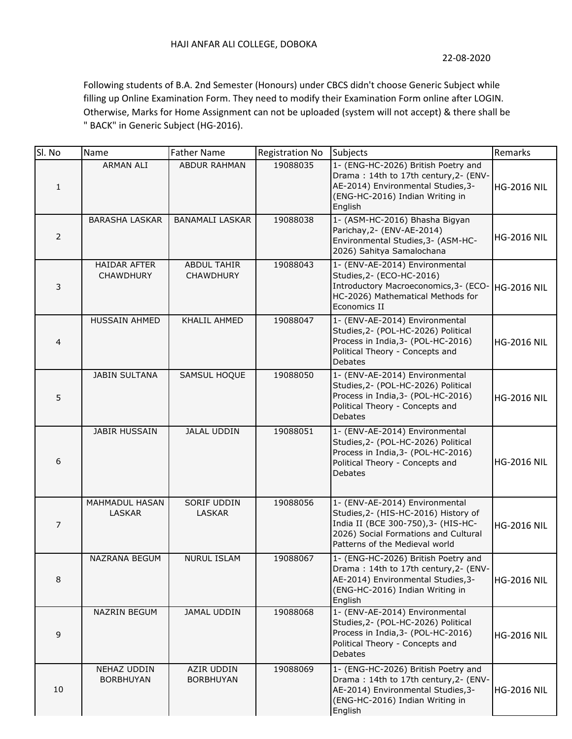Following students of B.A. 2nd Semester (Honours) under CBCS didn't choose Generic Subject while filling up Online Examination Form. They need to modify their Examination Form online after LOGIN. Otherwise, Marks for Home Assignment can not be uploaded (system will not accept) & there shall be " BACK" in Generic Subject (HG-2016).

| Sl. No         | Name                                    | <b>Father Name</b>                     | <b>Registration No</b> | <b>Subjects</b>                                                                                                                                                                         | Remarks            |
|----------------|-----------------------------------------|----------------------------------------|------------------------|-----------------------------------------------------------------------------------------------------------------------------------------------------------------------------------------|--------------------|
| $\mathbf{1}$   | <b>ARMAN ALI</b>                        | <b>ABDUR RAHMAN</b>                    | 19088035               | 1- (ENG-HC-2026) British Poetry and<br>Drama: 14th to 17th century, 2- (ENV-<br>AE-2014) Environmental Studies, 3-<br>(ENG-HC-2016) Indian Writing in<br>English                        | <b>HG-2016 NIL</b> |
| $\mathsf{2}\,$ | <b>BARASHA LASKAR</b>                   | <b>BANAMALI LASKAR</b>                 | 19088038               | 1- (ASM-HC-2016) Bhasha Bigyan<br>Parichay, 2- (ENV-AE-2014)<br>Environmental Studies, 3- (ASM-HC-<br>2026) Sahitya Samalochana                                                         | <b>HG-2016 NIL</b> |
| 3              | <b>HAIDAR AFTER</b><br><b>CHAWDHURY</b> | <b>ABDUL TAHIR</b><br><b>CHAWDHURY</b> | 19088043               | 1- (ENV-AE-2014) Environmental<br>Studies, 2- (ECO-HC-2016)<br>Introductory Macroeconomics, 3- (ECO-<br>HC-2026) Mathematical Methods for<br>Economics II                               | <b>HG-2016 NIL</b> |
| 4              | <b>HUSSAIN AHMED</b>                    | KHALIL AHMED                           | 19088047               | 1- (ENV-AE-2014) Environmental<br>Studies, 2- (POL-HC-2026) Political<br>Process in India, 3- (POL-HC-2016)<br>Political Theory - Concepts and<br><b>Debates</b>                        | <b>HG-2016 NIL</b> |
| 5              | <b>JABIN SULTANA</b>                    | <b>SAMSUL HOQUE</b>                    | 19088050               | 1- (ENV-AE-2014) Environmental<br>Studies, 2- (POL-HC-2026) Political<br>Process in India, 3- (POL-HC-2016)<br>Political Theory - Concepts and<br><b>Debates</b>                        | <b>HG-2016 NIL</b> |
| 6              | <b>JABIR HUSSAIN</b>                    | <b>JALAL UDDIN</b>                     | 19088051               | 1- (ENV-AE-2014) Environmental<br>Studies, 2- (POL-HC-2026) Political<br>Process in India, 3- (POL-HC-2016)<br>Political Theory - Concepts and<br><b>Debates</b>                        | <b>HG-2016 NIL</b> |
| 7              | <b>MAHMADUL HASAN</b><br><b>LASKAR</b>  | SORIF UDDIN<br><b>LASKAR</b>           | 19088056               | 1- (ENV-AE-2014) Environmental<br>Studies, 2- (HIS-HC-2016) History of<br>India II (BCE 300-750), 3- (HIS-HC-<br>2026) Social Formations and Cultural<br>Patterns of the Medieval world | <b>HG-2016 NIL</b> |
| 8              | NAZRANA BEGUM                           | <b>NURUL ISLAM</b>                     | 19088067               | 1- (ENG-HC-2026) British Poetry and<br>Drama: 14th to 17th century, 2- (ENV-<br>AE-2014) Environmental Studies, 3-<br>(ENG-HC-2016) Indian Writing in<br>English                        | <b>HG-2016 NIL</b> |
| 9              | <b>NAZRIN BEGUM</b>                     | JAMAL UDDIN                            | 19088068               | 1- (ENV-AE-2014) Environmental<br>Studies, 2- (POL-HC-2026) Political<br>Process in India, 3- (POL-HC-2016)<br>Political Theory - Concepts and<br>Debates                               | <b>HG-2016 NIL</b> |
| 10             | NEHAZ UDDIN<br><b>BORBHUYAN</b>         | AZIR UDDIN<br><b>BORBHUYAN</b>         | 19088069               | 1- (ENG-HC-2026) British Poetry and<br>Drama: 14th to 17th century, 2- (ENV-<br>AE-2014) Environmental Studies, 3-<br>(ENG-HC-2016) Indian Writing in<br>English                        | <b>HG-2016 NIL</b> |